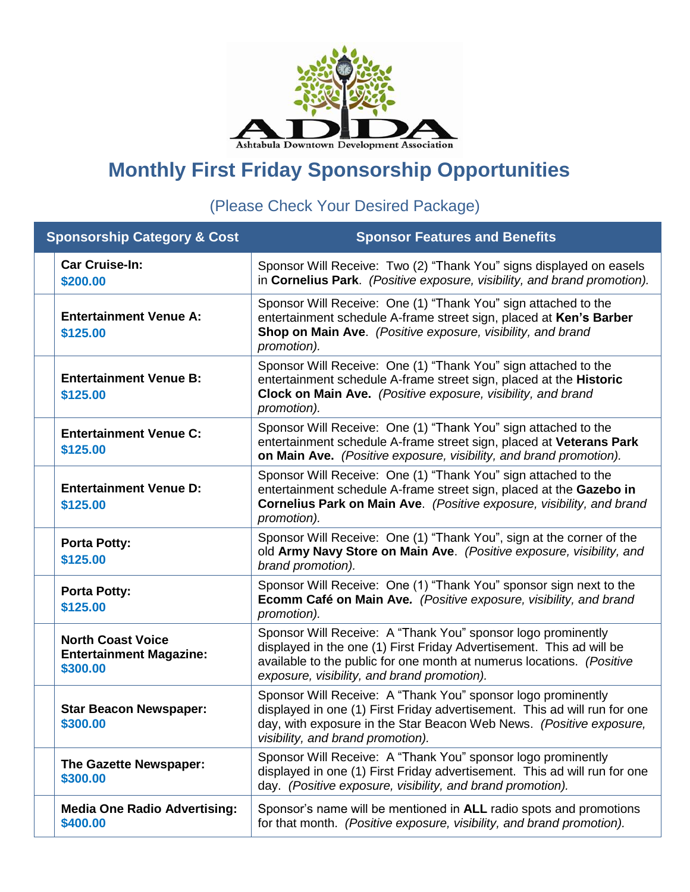

## **Monthly First Friday Sponsorship Opportunities**

(Please Check Your Desired Package)

| <b>Sponsorship Category &amp; Cost</b> |                                                                        | <b>Sponsor Features and Benefits</b>                                                                                                                                                                                                                         |
|----------------------------------------|------------------------------------------------------------------------|--------------------------------------------------------------------------------------------------------------------------------------------------------------------------------------------------------------------------------------------------------------|
|                                        | <b>Car Cruise-In:</b><br>\$200.00                                      | Sponsor Will Receive: Two (2) "Thank You" signs displayed on easels<br>in Cornelius Park. (Positive exposure, visibility, and brand promotion).                                                                                                              |
|                                        | <b>Entertainment Venue A:</b><br>\$125.00                              | Sponsor Will Receive: One (1) "Thank You" sign attached to the<br>entertainment schedule A-frame street sign, placed at Ken's Barber<br>Shop on Main Ave. (Positive exposure, visibility, and brand<br>promotion).                                           |
|                                        | <b>Entertainment Venue B:</b><br>\$125.00                              | Sponsor Will Receive: One (1) "Thank You" sign attached to the<br>entertainment schedule A-frame street sign, placed at the Historic<br>Clock on Main Ave. (Positive exposure, visibility, and brand<br>promotion).                                          |
|                                        | <b>Entertainment Venue C:</b><br>\$125.00                              | Sponsor Will Receive: One (1) "Thank You" sign attached to the<br>entertainment schedule A-frame street sign, placed at Veterans Park<br>on Main Ave. (Positive exposure, visibility, and brand promotion).                                                  |
|                                        | <b>Entertainment Venue D:</b><br>\$125.00                              | Sponsor Will Receive: One (1) "Thank You" sign attached to the<br>entertainment schedule A-frame street sign, placed at the Gazebo in<br>Cornelius Park on Main Ave. (Positive exposure, visibility, and brand<br>promotion).                                |
|                                        | <b>Porta Potty:</b><br>\$125.00                                        | Sponsor Will Receive: One (1) "Thank You", sign at the corner of the<br>old Army Navy Store on Main Ave. (Positive exposure, visibility, and<br>brand promotion).                                                                                            |
|                                        | <b>Porta Potty:</b><br>\$125.00                                        | Sponsor Will Receive: One (1) "Thank You" sponsor sign next to the<br>Ecomm Café on Main Ave. (Positive exposure, visibility, and brand<br>promotion).                                                                                                       |
|                                        | <b>North Coast Voice</b><br><b>Entertainment Magazine:</b><br>\$300.00 | Sponsor Will Receive: A "Thank You" sponsor logo prominently<br>displayed in the one (1) First Friday Advertisement. This ad will be<br>available to the public for one month at numerus locations. (Positive<br>exposure, visibility, and brand promotion). |
|                                        | <b>Star Beacon Newspaper:</b><br>\$300.00                              | Sponsor Will Receive: A "Thank You" sponsor logo prominently<br>displayed in one (1) First Friday advertisement. This ad will run for one<br>day, with exposure in the Star Beacon Web News. (Positive exposure,<br>visibility, and brand promotion).        |
|                                        | The Gazette Newspaper:<br>\$300.00                                     | Sponsor Will Receive: A "Thank You" sponsor logo prominently<br>displayed in one (1) First Friday advertisement. This ad will run for one<br>day. (Positive exposure, visibility, and brand promotion).                                                      |
|                                        | <b>Media One Radio Advertising:</b><br>\$400.00                        | Sponsor's name will be mentioned in ALL radio spots and promotions<br>for that month. (Positive exposure, visibility, and brand promotion).                                                                                                                  |